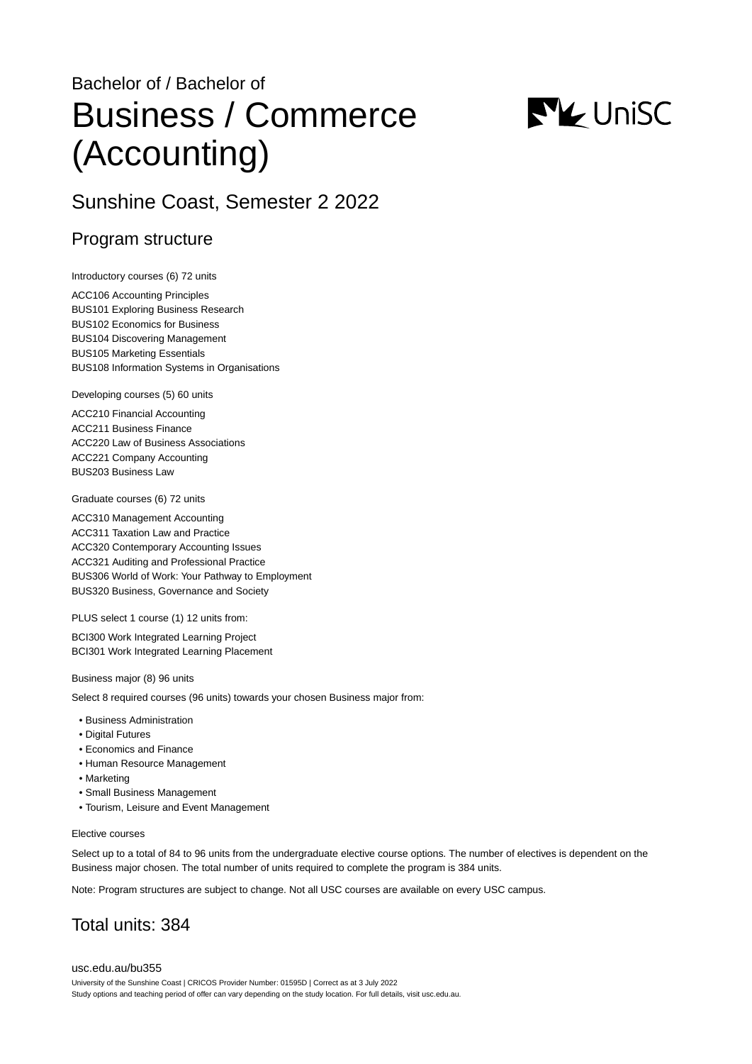# Bachelor of / Bachelor of Business / Commerce (Accounting)



# Sunshine Coast, Semester 2 2022

### Program structure

Introductory courses (6) 72 units

ACC106 Accounting Principles BUS101 Exploring Business Research BUS102 Economics for Business BUS104 Discovering Management BUS105 Marketing Essentials BUS108 Information Systems in Organisations

Developing courses (5) 60 units

ACC210 Financial Accounting ACC211 Business Finance ACC220 Law of Business Associations ACC221 Company Accounting BUS203 Business Law

Graduate courses (6) 72 units

ACC310 Management Accounting ACC311 Taxation Law and Practice ACC320 Contemporary Accounting Issues ACC321 Auditing and Professional Practice BUS306 World of Work: Your Pathway to Employment BUS320 Business, Governance and Society

PLUS select 1 course (1) 12 units from:

BCI300 Work Integrated Learning Project BCI301 Work Integrated Learning Placement

Business major (8) 96 units

Select 8 required courses (96 units) towards your chosen Business major from:

- Business Administration
- Digital Futures
- Economics and Finance
- Human Resource Management
- Marketing
- Small Business Management
- Tourism, Leisure and Event Management

#### Elective courses

Select up to a total of 84 to 96 units from the undergraduate elective course options. The number of electives is dependent on the Business major chosen. The total number of units required to complete the program is 384 units.

Note: Program structures are subject to change. Not all USC courses are available on every USC campus.

# Total units: 384

[usc.edu.au/bu355](https://www.usc.edu.au/bu355) University of the Sunshine Coast | CRICOS Provider Number: 01595D | Correct as at 3 July 2022 Study options and teaching period of offer can vary depending on the study location. For full details, visit usc.edu.au.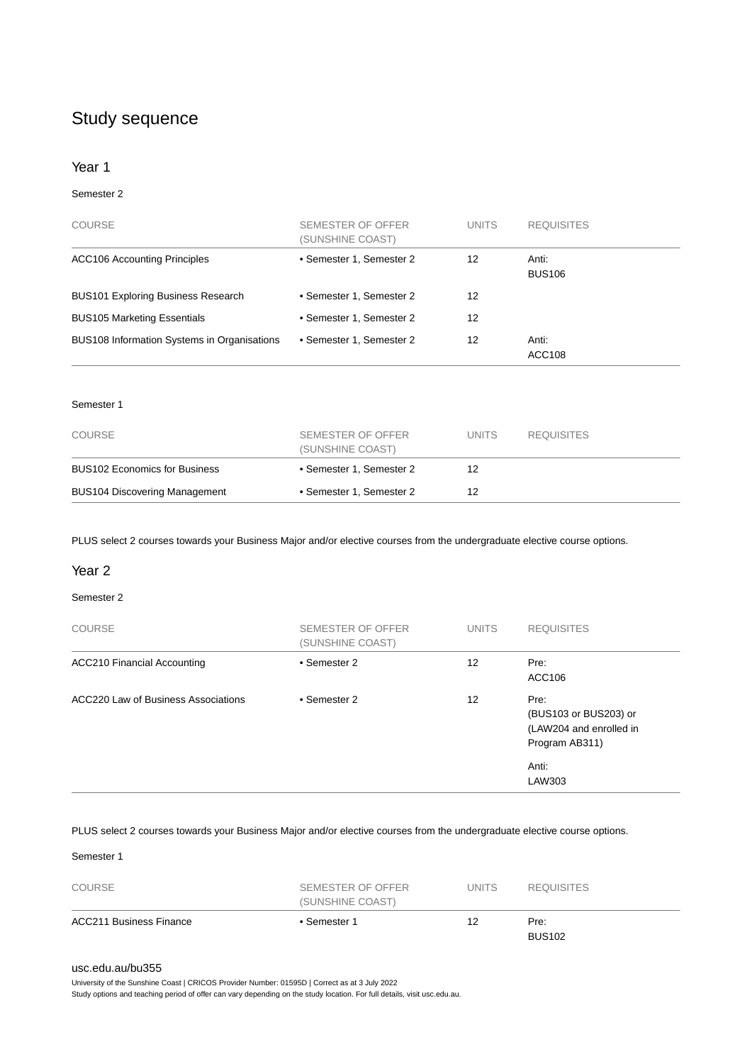# Study sequence

#### Year 1

#### Semester 2

| <b>COURSE</b>                               | SEMESTER OF OFFER<br>(SUNSHINE COAST) | <b>UNITS</b> | <b>REQUISITES</b>      |
|---------------------------------------------|---------------------------------------|--------------|------------------------|
| <b>ACC106 Accounting Principles</b>         | • Semester 1, Semester 2              | 12           | Anti:<br><b>BUS106</b> |
| <b>BUS101 Exploring Business Research</b>   | • Semester 1, Semester 2              | 12           |                        |
| <b>BUS105 Marketing Essentials</b>          | • Semester 1, Semester 2              | 12           |                        |
| BUS108 Information Systems in Organisations | • Semester 1, Semester 2              | 12           | Anti:<br><b>ACC108</b> |

#### Semester 1

| <b>COURSE</b>                        | SEMESTER OF OFFER<br>(SUNSHINE COAST) | <b>UNITS</b> | <b>REQUISITES</b> |
|--------------------------------------|---------------------------------------|--------------|-------------------|
| <b>BUS102 Economics for Business</b> | • Semester 1, Semester 2              | 12           |                   |
| <b>BUS104 Discovering Management</b> | • Semester 1, Semester 2              | 12           |                   |

PLUS select 2 courses towards your Business Major and/or elective courses from the undergraduate elective course options.

#### Year 2

#### Semester 2

| <b>COURSE</b>                       | SEMESTER OF OFFER<br>(SUNSHINE COAST) | <b>UNITS</b> | <b>REQUISITES</b>                                                          |
|-------------------------------------|---------------------------------------|--------------|----------------------------------------------------------------------------|
| <b>ACC210 Financial Accounting</b>  | • Semester 2                          | 12           | Pre:<br>ACC106                                                             |
| ACC220 Law of Business Associations | • Semester 2                          | 12           | Pre:<br>(BUS103 or BUS203) or<br>(LAW204 and enrolled in<br>Program AB311) |
|                                     |                                       |              | Anti:<br>LAW303                                                            |

PLUS select 2 courses towards your Business Major and/or elective courses from the undergraduate elective course options.

Semester 1

| <b>COURSE</b>                  | SEMESTER OF OFFER<br>(SUNSHINE COAST) | <b>UNITS</b> | <b>REQUISITES</b>     |
|--------------------------------|---------------------------------------|--------------|-----------------------|
| <b>ACC211 Business Finance</b> | • Semester 1                          | 12           | Pre:<br><b>BUS102</b> |

#### [usc.edu.au/bu355](https://www.usc.edu.au/bu355)

University of the Sunshine Coast | CRICOS Provider Number: 01595D | Correct as at 3 July 2022

Study options and teaching period of offer can vary depending on the study location. For full details, visit usc.edu.au.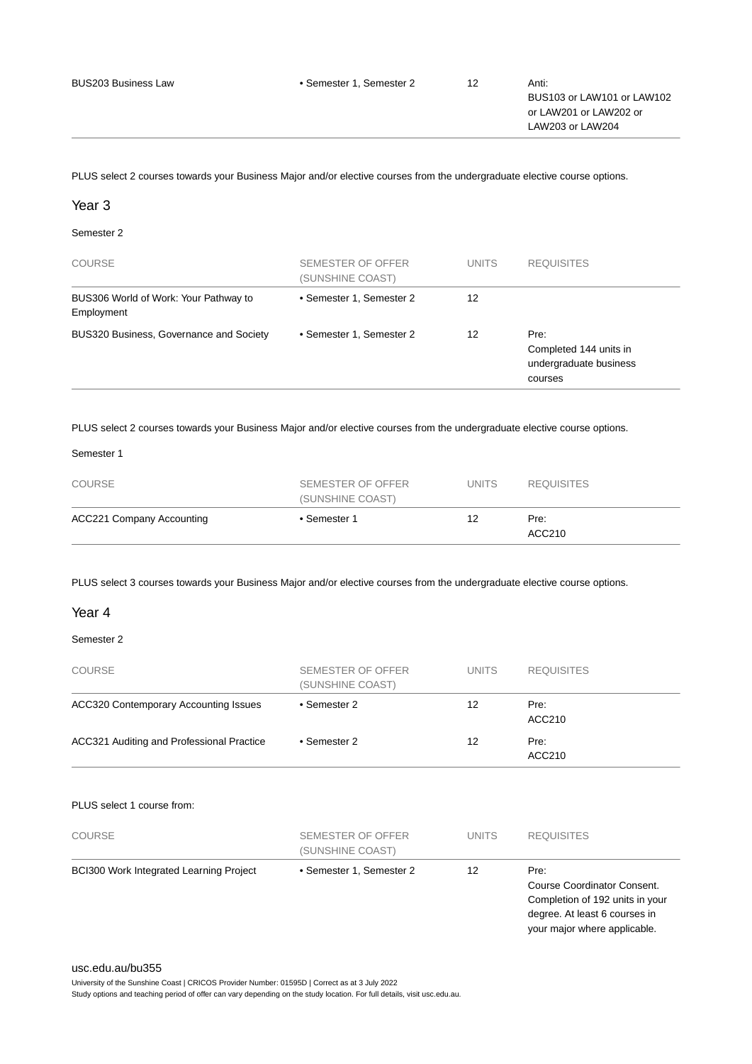PLUS select 2 courses towards your Business Major and/or elective courses from the undergraduate elective course options.

#### Year 3

#### Semester 2

| <b>COURSE</b>                                       | SEMESTER OF OFFER<br>(SUNSHINE COAST) | <b>UNITS</b> | <b>REQUISITES</b>                                                   |
|-----------------------------------------------------|---------------------------------------|--------------|---------------------------------------------------------------------|
| BUS306 World of Work: Your Pathway to<br>Employment | • Semester 1, Semester 2              | 12           |                                                                     |
| BUS320 Business, Governance and Society             | • Semester 1, Semester 2              | 12           | Pre:<br>Completed 144 units in<br>undergraduate business<br>courses |

PLUS select 2 courses towards your Business Major and/or elective courses from the undergraduate elective course options.

#### Semester 1

| <b>COURSE</b>                    | SEMESTER OF OFFER<br>(SUNSHINE COAST) | <b>UNITS</b> | <b>REQUISITES</b> |
|----------------------------------|---------------------------------------|--------------|-------------------|
| <b>ACC221 Company Accounting</b> | • Semester 1                          | 12           | Pre:<br>ACC210    |

PLUS select 3 courses towards your Business Major and/or elective courses from the undergraduate elective course options.

#### Year 4

#### Semester 2

| <b>COURSE</b>                                | SEMESTER OF OFFER<br>(SUNSHINE COAST) | <b>UNITS</b> | <b>REQUISITES</b> |
|----------------------------------------------|---------------------------------------|--------------|-------------------|
| <b>ACC320 Contemporary Accounting Issues</b> | • Semester 2                          | 12           | Pre:<br>ACC210    |
| ACC321 Auditing and Professional Practice    | • Semester 2                          | 12           | Pre:<br>ACC210    |

#### PLUS select 1 course from:

| <b>COURSE</b>                                  | SEMESTER OF OFFER<br>(SUNSHINE COAST) | <b>UNITS</b> | <b>REQUISITES</b>                                                                                                                       |
|------------------------------------------------|---------------------------------------|--------------|-----------------------------------------------------------------------------------------------------------------------------------------|
| <b>BCI300 Work Integrated Learning Project</b> | • Semester 1, Semester 2              | 12           | Pre:<br>Course Coordinator Consent.<br>Completion of 192 units in your<br>degree. At least 6 courses in<br>your major where applicable. |

#### [usc.edu.au/bu355](https://www.usc.edu.au/bu355)

University of the Sunshine Coast | CRICOS Provider Number: 01595D | Correct as at 3 July 2022 Study options and teaching period of offer can vary depending on the study location. For full details, visit usc.edu.au.